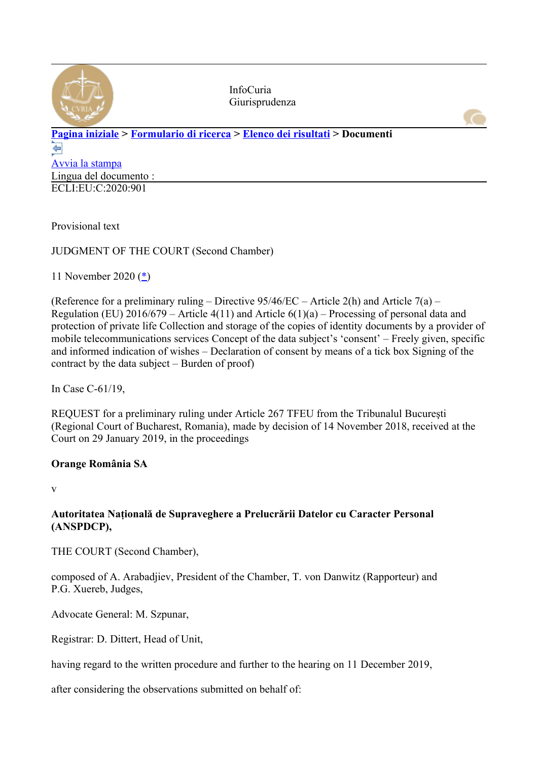

InfoCuria Giurisprudenza

### **[Pagina iniziale](http://curia.europa.eu/jcms/jcms/j_6?PortalAction_x_000_userLang=it) > [Formulario di ricerca](http://curia.europa.eu/juris/document/document.jsf?docid=233544&text=&dir=&doclang=EN&part=1&occ=first&mode=lst&pageIndex=0&actionMethod=document%2Fdocument.xhtml%3AformController.resetAction&cid=19262353) > [Elenco dei risultati](http://curia.europa.eu/juris/documents.jsf?oqp=&for=&mat=or&lgrec=it&jge=&td=%3BALL&jur=C%2CT%2CF&num=C-61%252F19&page=1&dates=&pcs=Oor&lg=&pro=&nat=or&cit=none%252CC%252CCJ%252CR%252C2008E%252C%252C%252C%252C%252C%252C%252C%252C%252C%252Ctrue%252Cfalse%252Cfalse&language=it&avg=&cid=19262353) > Documenti**  ⇚ [Avvia la stampa](http://curia.europa.eu/juris/document/document_print.jsf?docid=233544&text=&dir=&doclang=EN&part=1&occ=first&mode=lst&pageIndex=0&cid=19262353) Lingua del documento :

ECLI:EU:C:2020:901

Provisional text

JUDGMENT OF THE COURT (Second Chamber)

#### 11 November 2020 [\(\\*](http://curia.europa.eu/juris/document/document.jsf?text=&docid=233544&pageIndex=0&doclang=EN&mode=lst&dir=&occ=first&part=1&cid=19262353#Footnote*))

(Reference for a preliminary ruling – Directive  $95/46/EC$  – Article 2(h) and Article 7(a) – Regulation (EU)  $2016/679$  – Article  $4(11)$  and Article  $6(1)(a)$  – Processing of personal data and protection of private life Collection and storage of the copies of identity documents by a provider of mobile telecommunications services Concept of the data subject's 'consent' – Freely given, specific and informed indication of wishes – Declaration of consent by means of a tick box Signing of the contract by the data subject – Burden of proof)

In Case C-61/19,

REQUEST for a preliminary ruling under Article 267 TFEU from the Tribunalul Bucureşti (Regional Court of Bucharest, Romania), made by decision of 14 November 2018, received at the Court on 29 January 2019, in the proceedings

#### **Orange România SA**

v

#### **Autoritatea Națională de Supraveghere a Prelucrării Datelor cu Caracter Personal (ANSPDCP),**

THE COURT (Second Chamber),

composed of A. Arabadjiev, President of the Chamber, T. von Danwitz (Rapporteur) and P.G. Xuereb, Judges,

Advocate General: M. Szpunar,

Registrar: D. Dittert, Head of Unit,

having regard to the written procedure and further to the hearing on 11 December 2019,

after considering the observations submitted on behalf of: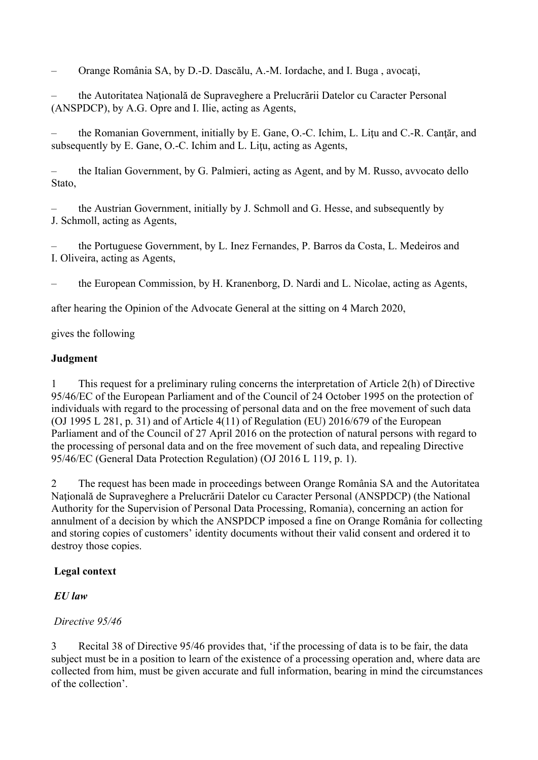– Orange România SA, by D.-D. Dascălu, A.-M. Iordache, and I. Buga , avocaţi,

– the Autoritatea Naţională de Supraveghere a Prelucrării Datelor cu Caracter Personal (ANSPDCP), by A.G. Opre and I. Ilie, acting as Agents,

– the Romanian Government, initially by E. Gane, O.-C. Ichim, L. Liţu and C.-R. Canţăr, and subsequently by E. Gane, O.-C. Ichim and L. Litu, acting as Agents,

– the Italian Government, by G. Palmieri, acting as Agent, and by M. Russo, avvocato dello Stato,

– the Austrian Government, initially by J. Schmoll and G. Hesse, and subsequently by J. Schmoll, acting as Agents,

– the Portuguese Government, by L. Inez Fernandes, P. Barros da Costa, L. Medeiros and I. Oliveira, acting as Agents,

– the European Commission, by H. Kranenborg, D. Nardi and L. Nicolae, acting as Agents,

after hearing the Opinion of the Advocate General at the sitting on 4 March 2020,

gives the following

### **Judgment**

1 This request for a preliminary ruling concerns the interpretation of Article 2(h) of Directive 95/46/EC of the European Parliament and of the Council of 24 October 1995 on the protection of individuals with regard to the processing of personal data and on the free movement of such data (OJ 1995 L 281, p. 31) and of Article 4(11) of Regulation (EU) 2016/679 of the European Parliament and of the Council of 27 April 2016 on the protection of natural persons with regard to the processing of personal data and on the free movement of such data, and repealing Directive 95/46/EC (General Data Protection Regulation) (OJ 2016 L 119, p. 1).

2 The request has been made in proceedings between Orange România SA and the Autoritatea Naţională de Supraveghere a Prelucrării Datelor cu Caracter Personal (ANSPDCP) (the National Authority for the Supervision of Personal Data Processing, Romania), concerning an action for annulment of a decision by which the ANSPDCP imposed a fine on Orange România for collecting and storing copies of customers' identity documents without their valid consent and ordered it to destroy those copies.

# **Legal context**

# *EU law*

# *Directive 95/46*

3 Recital 38 of Directive 95/46 provides that, 'if the processing of data is to be fair, the data subject must be in a position to learn of the existence of a processing operation and, where data are collected from him, must be given accurate and full information, bearing in mind the circumstances of the collection'.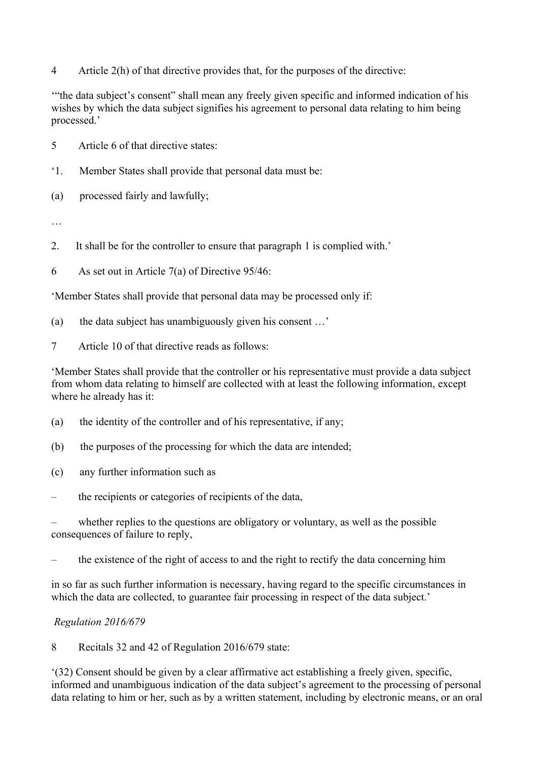4 Article 2(h) of that directive provides that, for the purposes of the directive:

'"the data subject's consent" shall mean any freely given specific and informed indication of his wishes by which the data subject signifies his agreement to personal data relating to him being processed.'

- 5 Article 6 of that directive states:
- '1. Member States shall provide that personal data must be:
- (a) processed fairly and lawfully;

…

- 2. It shall be for the controller to ensure that paragraph 1 is complied with.'
- 6 As set out in Article 7(a) of Directive 95/46:

'Member States shall provide that personal data may be processed only if:

- (a) the data subject has unambiguously given his consent …'
- 7 Article 10 of that directive reads as follows:

'Member States shall provide that the controller or his representative must provide a data subject from whom data relating to himself are collected with at least the following information, except where he already has it:

- (a) the identity of the controller and of his representative, if any;
- (b) the purposes of the processing for which the data are intended;
- (c) any further information such as
- the recipients or categories of recipients of the data,

whether replies to the questions are obligatory or voluntary, as well as the possible consequences of failure to reply,

– the existence of the right of access to and the right to rectify the data concerning him

in so far as such further information is necessary, having regard to the specific circumstances in which the data are collected, to guarantee fair processing in respect of the data subject.'

# *Regulation 2016/679*

8 Recitals 32 and 42 of Regulation 2016/679 state:

'(32) Consent should be given by a clear affirmative act establishing a freely given, specific, informed and unambiguous indication of the data subject's agreement to the processing of personal data relating to him or her, such as by a written statement, including by electronic means, or an oral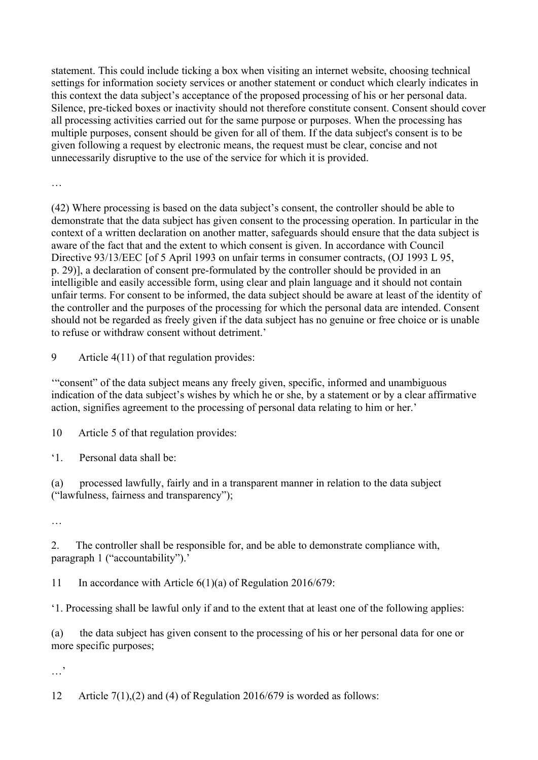statement. This could include ticking a box when visiting an internet website, choosing technical settings for information society services or another statement or conduct which clearly indicates in this context the data subject's acceptance of the proposed processing of his or her personal data. Silence, pre-ticked boxes or inactivity should not therefore constitute consent. Consent should cover all processing activities carried out for the same purpose or purposes. When the processing has multiple purposes, consent should be given for all of them. If the data subject's consent is to be given following a request by electronic means, the request must be clear, concise and not unnecessarily disruptive to the use of the service for which it is provided.

…

(42) Where processing is based on the data subject's consent, the controller should be able to demonstrate that the data subject has given consent to the processing operation. In particular in the context of a written declaration on another matter, safeguards should ensure that the data subject is aware of the fact that and the extent to which consent is given. In accordance with Council Directive 93/13/EEC [of 5 April 1993 on unfair terms in consumer contracts, (OJ 1993 L 95, p. 29)], a declaration of consent pre-formulated by the controller should be provided in an intelligible and easily accessible form, using clear and plain language and it should not contain unfair terms. For consent to be informed, the data subject should be aware at least of the identity of the controller and the purposes of the processing for which the personal data are intended. Consent should not be regarded as freely given if the data subject has no genuine or free choice or is unable to refuse or withdraw consent without detriment.'

9 Article 4(11) of that regulation provides:

'"consent" of the data subject means any freely given, specific, informed and unambiguous indication of the data subject's wishes by which he or she, by a statement or by a clear affirmative action, signifies agreement to the processing of personal data relating to him or her.'

10 Article 5 of that regulation provides:

'1. Personal data shall be:

(a) processed lawfully, fairly and in a transparent manner in relation to the data subject ("lawfulness, fairness and transparency");

…

2. The controller shall be responsible for, and be able to demonstrate compliance with, paragraph 1 ("accountability").'

11 In accordance with Article 6(1)(a) of Regulation 2016/679:

'1. Processing shall be lawful only if and to the extent that at least one of the following applies:

(a) the data subject has given consent to the processing of his or her personal data for one or more specific purposes;

…'

12 Article 7(1),(2) and (4) of Regulation 2016/679 is worded as follows: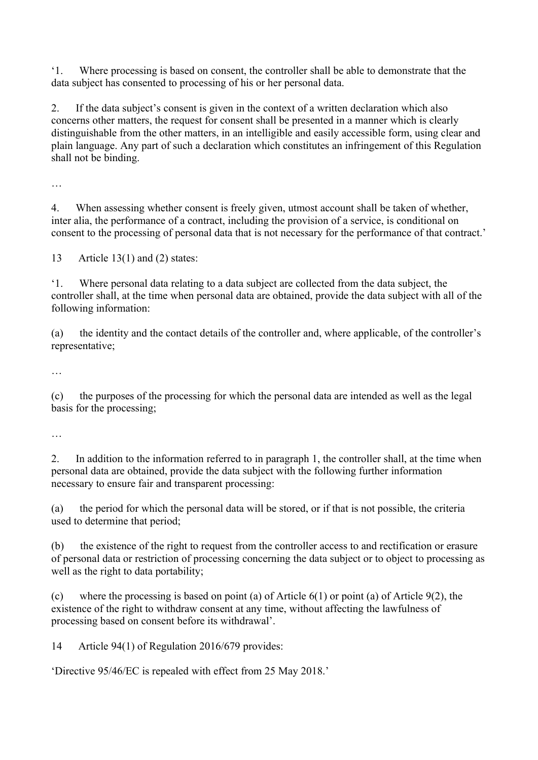'1. Where processing is based on consent, the controller shall be able to demonstrate that the data subject has consented to processing of his or her personal data.

2. If the data subject's consent is given in the context of a written declaration which also concerns other matters, the request for consent shall be presented in a manner which is clearly distinguishable from the other matters, in an intelligible and easily accessible form, using clear and plain language. Any part of such a declaration which constitutes an infringement of this Regulation shall not be binding.

…

4. When assessing whether consent is freely given, utmost account shall be taken of whether, inter alia, the performance of a contract, including the provision of a service, is conditional on consent to the processing of personal data that is not necessary for the performance of that contract.'

13 Article 13(1) and (2) states:

'1. Where personal data relating to a data subject are collected from the data subject, the controller shall, at the time when personal data are obtained, provide the data subject with all of the following information:

(a) the identity and the contact details of the controller and, where applicable, of the controller's representative;

…

(c) the purposes of the processing for which the personal data are intended as well as the legal basis for the processing;

…

2. In addition to the information referred to in paragraph 1, the controller shall, at the time when personal data are obtained, provide the data subject with the following further information necessary to ensure fair and transparent processing:

(a) the period for which the personal data will be stored, or if that is not possible, the criteria used to determine that period;

(b) the existence of the right to request from the controller access to and rectification or erasure of personal data or restriction of processing concerning the data subject or to object to processing as well as the right to data portability;

(c) where the processing is based on point (a) of Article  $6(1)$  or point (a) of Article  $9(2)$ , the existence of the right to withdraw consent at any time, without affecting the lawfulness of processing based on consent before its withdrawal'.

14 Article 94(1) of Regulation 2016/679 provides:

'Directive 95/46/EC is repealed with effect from 25 May 2018.'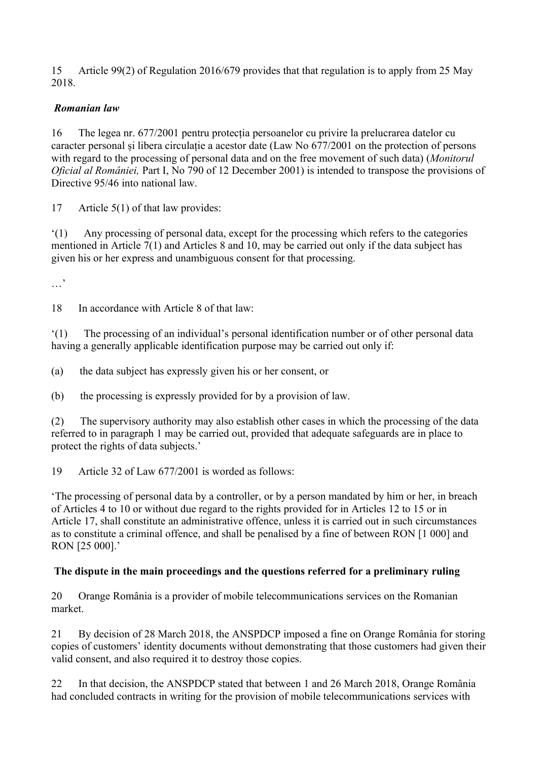15 Article 99(2) of Regulation 2016/679 provides that that regulation is to apply from 25 May 2018.

# *Romanian law*

16 The legea nr. 677/2001 pentru protecția persoanelor cu privire la prelucrarea datelor cu caracter personal și libera circulație a acestor date (Law No 677/2001 on the protection of persons with regard to the processing of personal data and on the free movement of such data) (*Monitorul Oficial al României,* Part I, No 790 of 12 December 2001) is intended to transpose the provisions of Directive 95/46 into national law.

17 Article 5(1) of that law provides:

'(1) Any processing of personal data, except for the processing which refers to the categories mentioned in Article 7(1) and Articles 8 and 10, may be carried out only if the data subject has given his or her express and unambiguous consent for that processing.

…'

18 In accordance with Article 8 of that law:

'(1) The processing of an individual's personal identification number or of other personal data having a generally applicable identification purpose may be carried out only if:

(a) the data subject has expressly given his or her consent, or

(b) the processing is expressly provided for by a provision of law.

(2) The supervisory authority may also establish other cases in which the processing of the data referred to in paragraph 1 may be carried out, provided that adequate safeguards are in place to protect the rights of data subjects.'

19 Article 32 of Law 677/2001 is worded as follows:

'The processing of personal data by a controller, or by a person mandated by him or her, in breach of Articles 4 to 10 or without due regard to the rights provided for in Articles 12 to 15 or in Article 17, shall constitute an administrative offence, unless it is carried out in such circumstances as to constitute a criminal offence, and shall be penalised by a fine of between RON [1 000] and RON [25 000].'

#### **The dispute in the main proceedings and the questions referred for a preliminary ruling**

20 Orange România is a provider of mobile telecommunications services on the Romanian market.

21 By decision of 28 March 2018, the ANSPDCP imposed a fine on Orange România for storing copies of customers' identity documents without demonstrating that those customers had given their valid consent, and also required it to destroy those copies.

22 In that decision, the ANSPDCP stated that between 1 and 26 March 2018, Orange România had concluded contracts in writing for the provision of mobile telecommunications services with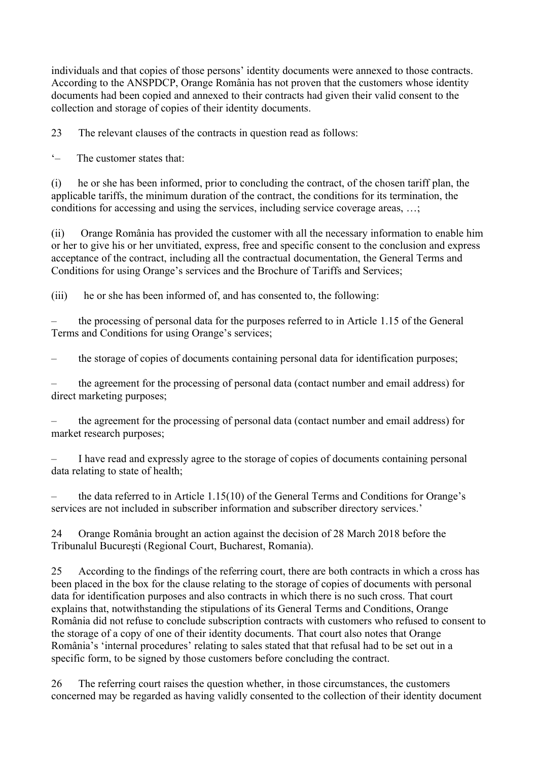individuals and that copies of those persons' identity documents were annexed to those contracts. According to the ANSPDCP, Orange România has not proven that the customers whose identity documents had been copied and annexed to their contracts had given their valid consent to the collection and storage of copies of their identity documents.

23 The relevant clauses of the contracts in question read as follows:

'– The customer states that:

(i) he or she has been informed, prior to concluding the contract, of the chosen tariff plan, the applicable tariffs, the minimum duration of the contract, the conditions for its termination, the conditions for accessing and using the services, including service coverage areas, …;

(ii) Orange România has provided the customer with all the necessary information to enable him or her to give his or her unvitiated, express, free and specific consent to the conclusion and express acceptance of the contract, including all the contractual documentation, the General Terms and Conditions for using Orange's services and the Brochure of Tariffs and Services;

(iii) he or she has been informed of, and has consented to, the following:

– the processing of personal data for the purposes referred to in Article 1.15 of the General Terms and Conditions for using Orange's services;

– the storage of copies of documents containing personal data for identification purposes;

– the agreement for the processing of personal data (contact number and email address) for direct marketing purposes;

– the agreement for the processing of personal data (contact number and email address) for market research purposes;

– I have read and expressly agree to the storage of copies of documents containing personal data relating to state of health;

– the data referred to in Article 1.15(10) of the General Terms and Conditions for Orange's services are not included in subscriber information and subscriber directory services.'

24 Orange România brought an action against the decision of 28 March 2018 before the Tribunalul Bucureşti (Regional Court, Bucharest, Romania).

25 According to the findings of the referring court, there are both contracts in which a cross has been placed in the box for the clause relating to the storage of copies of documents with personal data for identification purposes and also contracts in which there is no such cross. That court explains that, notwithstanding the stipulations of its General Terms and Conditions, Orange România did not refuse to conclude subscription contracts with customers who refused to consent to the storage of a copy of one of their identity documents. That court also notes that Orange România's 'internal procedures' relating to sales stated that that refusal had to be set out in a specific form, to be signed by those customers before concluding the contract.

26 The referring court raises the question whether, in those circumstances, the customers concerned may be regarded as having validly consented to the collection of their identity document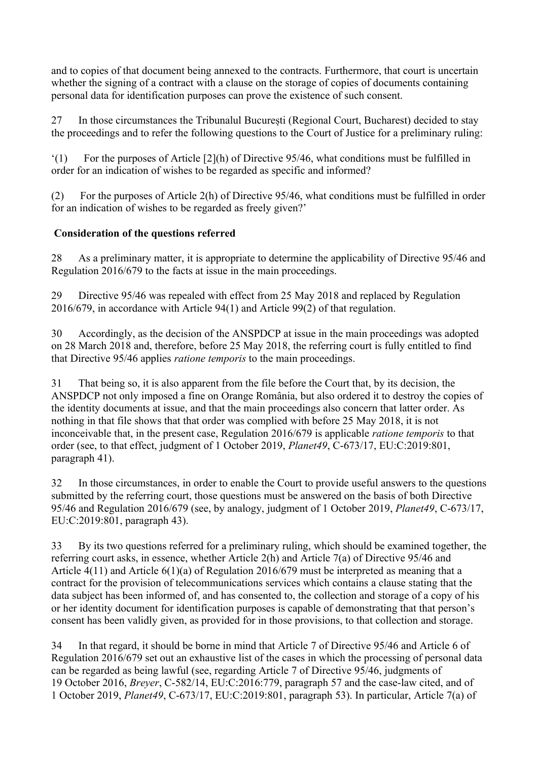and to copies of that document being annexed to the contracts. Furthermore, that court is uncertain whether the signing of a contract with a clause on the storage of copies of documents containing personal data for identification purposes can prove the existence of such consent.

27 In those circumstances the Tribunalul București (Regional Court, Bucharest) decided to stay the proceedings and to refer the following questions to the Court of Justice for a preliminary ruling:

'(1) For the purposes of Article [2](h) of Directive 95/46, what conditions must be fulfilled in order for an indication of wishes to be regarded as specific and informed?

(2) For the purposes of Article 2(h) of Directive 95/46, what conditions must be fulfilled in order for an indication of wishes to be regarded as freely given?'

# **Consideration of the questions referred**

28 As a preliminary matter, it is appropriate to determine the applicability of Directive 95/46 and Regulation 2016/679 to the facts at issue in the main proceedings.

29 Directive 95/46 was repealed with effect from 25 May 2018 and replaced by Regulation 2016/679, in accordance with Article 94(1) and Article 99(2) of that regulation.

30 Accordingly, as the decision of the ANSPDCP at issue in the main proceedings was adopted on 28 March 2018 and, therefore, before 25 May 2018, the referring court is fully entitled to find that Directive 95/46 applies *ratione temporis* to the main proceedings.

31 That being so, it is also apparent from the file before the Court that, by its decision, the ANSPDCP not only imposed a fine on Orange România, but also ordered it to destroy the copies of the identity documents at issue, and that the main proceedings also concern that latter order. As nothing in that file shows that that order was complied with before 25 May 2018, it is not inconceivable that, in the present case, Regulation 2016/679 is applicable *ratione temporis* to that order (see, to that effect, judgment of 1 October 2019, *Planet49*, C-673/17, EU:C:2019:801, paragraph 41).

32 In those circumstances, in order to enable the Court to provide useful answers to the questions submitted by the referring court, those questions must be answered on the basis of both Directive 95/46 and Regulation 2016/679 (see, by analogy, judgment of 1 October 2019, *Planet49*, C-673/17, EU:C:2019:801, paragraph 43).

33 By its two questions referred for a preliminary ruling, which should be examined together, the referring court asks, in essence, whether Article 2(h) and Article 7(a) of Directive 95/46 and Article 4(11) and Article 6(1)(a) of Regulation 2016/679 must be interpreted as meaning that a contract for the provision of telecommunications services which contains a clause stating that the data subject has been informed of, and has consented to, the collection and storage of a copy of his or her identity document for identification purposes is capable of demonstrating that that person's consent has been validly given, as provided for in those provisions, to that collection and storage.

34 In that regard, it should be borne in mind that Article 7 of Directive 95/46 and Article 6 of Regulation 2016/679 set out an exhaustive list of the cases in which the processing of personal data can be regarded as being lawful (see, regarding Article 7 of Directive 95/46, judgments of 19 October 2016, *Breyer*, C-582/14, EU:C:2016:779, paragraph 57 and the case-law cited, and of 1 October 2019, *Planet49*, C-673/17, EU:C:2019:801, paragraph 53). In particular, Article 7(a) of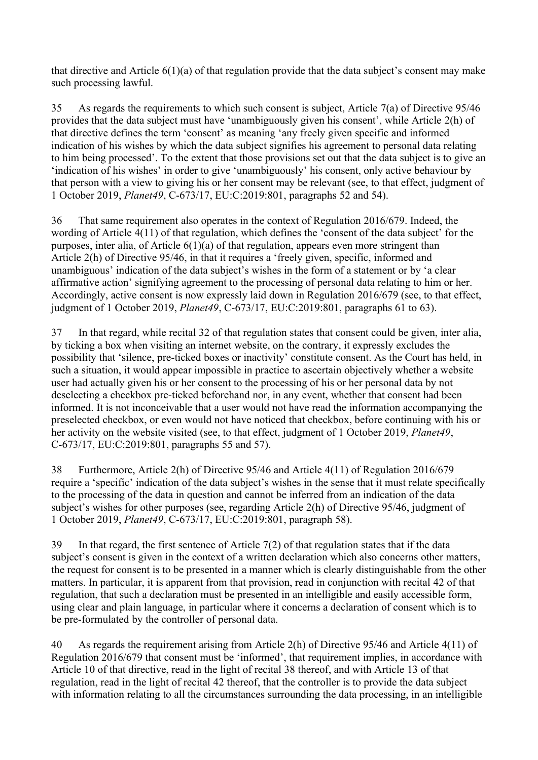that directive and Article 6(1)(a) of that regulation provide that the data subject's consent may make such processing lawful.

35 As regards the requirements to which such consent is subject, Article 7(a) of Directive 95/46 provides that the data subject must have 'unambiguously given his consent', while Article 2(h) of that directive defines the term 'consent' as meaning 'any freely given specific and informed indication of his wishes by which the data subject signifies his agreement to personal data relating to him being processed'. To the extent that those provisions set out that the data subject is to give an 'indication of his wishes' in order to give 'unambiguously' his consent, only active behaviour by that person with a view to giving his or her consent may be relevant (see, to that effect, judgment of 1 October 2019, *Planet49*, C-673/17, EU:C:2019:801, paragraphs 52 and 54).

36 That same requirement also operates in the context of Regulation 2016/679. Indeed, the wording of Article 4(11) of that regulation, which defines the 'consent of the data subject' for the purposes, inter alia, of Article  $6(1)(a)$  of that regulation, appears even more stringent than Article 2(h) of Directive 95/46, in that it requires a 'freely given, specific, informed and unambiguous' indication of the data subject's wishes in the form of a statement or by 'a clear affirmative action' signifying agreement to the processing of personal data relating to him or her. Accordingly, active consent is now expressly laid down in Regulation 2016/679 (see, to that effect, judgment of 1 October 2019, *Planet49*, C-673/17, EU:C:2019:801, paragraphs 61 to 63).

37 In that regard, while recital 32 of that regulation states that consent could be given, inter alia, by ticking a box when visiting an internet website, on the contrary, it expressly excludes the possibility that 'silence, pre-ticked boxes or inactivity' constitute consent. As the Court has held, in such a situation, it would appear impossible in practice to ascertain objectively whether a website user had actually given his or her consent to the processing of his or her personal data by not deselecting a checkbox pre-ticked beforehand nor, in any event, whether that consent had been informed. It is not inconceivable that a user would not have read the information accompanying the preselected checkbox, or even would not have noticed that checkbox, before continuing with his or her activity on the website visited (see, to that effect, judgment of 1 October 2019, *Planet49*, C-673/17, EU:C:2019:801, paragraphs 55 and 57).

38 Furthermore, Article 2(h) of Directive 95/46 and Article 4(11) of Regulation 2016/679 require a 'specific' indication of the data subject's wishes in the sense that it must relate specifically to the processing of the data in question and cannot be inferred from an indication of the data subject's wishes for other purposes (see, regarding Article 2(h) of Directive 95/46, judgment of 1 October 2019, *Planet49*, C-673/17, EU:C:2019:801, paragraph 58).

39 In that regard, the first sentence of Article 7(2) of that regulation states that if the data subject's consent is given in the context of a written declaration which also concerns other matters, the request for consent is to be presented in a manner which is clearly distinguishable from the other matters. In particular, it is apparent from that provision, read in conjunction with recital 42 of that regulation, that such a declaration must be presented in an intelligible and easily accessible form, using clear and plain language, in particular where it concerns a declaration of consent which is to be pre-formulated by the controller of personal data.

40 As regards the requirement arising from Article 2(h) of Directive 95/46 and Article 4(11) of Regulation 2016/679 that consent must be 'informed', that requirement implies, in accordance with Article 10 of that directive, read in the light of recital 38 thereof, and with Article 13 of that regulation, read in the light of recital 42 thereof, that the controller is to provide the data subject with information relating to all the circumstances surrounding the data processing, in an intelligible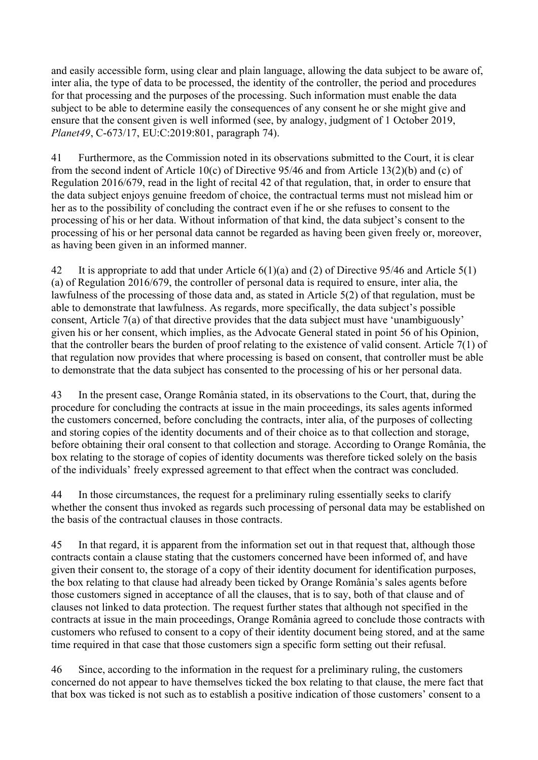and easily accessible form, using clear and plain language, allowing the data subject to be aware of, inter alia, the type of data to be processed, the identity of the controller, the period and procedures for that processing and the purposes of the processing. Such information must enable the data subject to be able to determine easily the consequences of any consent he or she might give and ensure that the consent given is well informed (see, by analogy, judgment of 1 October 2019, *Planet49*, C-673/17, EU:C:2019:801, paragraph 74).

41 Furthermore, as the Commission noted in its observations submitted to the Court, it is clear from the second indent of Article 10(c) of Directive 95/46 and from Article 13(2)(b) and (c) of Regulation 2016/679, read in the light of recital 42 of that regulation, that, in order to ensure that the data subject enjoys genuine freedom of choice, the contractual terms must not mislead him or her as to the possibility of concluding the contract even if he or she refuses to consent to the processing of his or her data. Without information of that kind, the data subject's consent to the processing of his or her personal data cannot be regarded as having been given freely or, moreover, as having been given in an informed manner.

42 It is appropriate to add that under Article 6(1)(a) and (2) of Directive 95/46 and Article 5(1) (a) of Regulation 2016/679, the controller of personal data is required to ensure, inter alia, the lawfulness of the processing of those data and, as stated in Article 5(2) of that regulation, must be able to demonstrate that lawfulness. As regards, more specifically, the data subject's possible consent, Article 7(a) of that directive provides that the data subject must have 'unambiguously' given his or her consent, which implies, as the Advocate General stated in point 56 of his Opinion, that the controller bears the burden of proof relating to the existence of valid consent. Article 7(1) of that regulation now provides that where processing is based on consent, that controller must be able to demonstrate that the data subject has consented to the processing of his or her personal data.

43 In the present case, Orange România stated, in its observations to the Court, that, during the procedure for concluding the contracts at issue in the main proceedings, its sales agents informed the customers concerned, before concluding the contracts, inter alia, of the purposes of collecting and storing copies of the identity documents and of their choice as to that collection and storage, before obtaining their oral consent to that collection and storage. According to Orange România, the box relating to the storage of copies of identity documents was therefore ticked solely on the basis of the individuals' freely expressed agreement to that effect when the contract was concluded.

44 In those circumstances, the request for a preliminary ruling essentially seeks to clarify whether the consent thus invoked as regards such processing of personal data may be established on the basis of the contractual clauses in those contracts.

45 In that regard, it is apparent from the information set out in that request that, although those contracts contain a clause stating that the customers concerned have been informed of, and have given their consent to, the storage of a copy of their identity document for identification purposes, the box relating to that clause had already been ticked by Orange România's sales agents before those customers signed in acceptance of all the clauses, that is to say, both of that clause and of clauses not linked to data protection. The request further states that although not specified in the contracts at issue in the main proceedings, Orange România agreed to conclude those contracts with customers who refused to consent to a copy of their identity document being stored, and at the same time required in that case that those customers sign a specific form setting out their refusal.

46 Since, according to the information in the request for a preliminary ruling, the customers concerned do not appear to have themselves ticked the box relating to that clause, the mere fact that that box was ticked is not such as to establish a positive indication of those customers' consent to a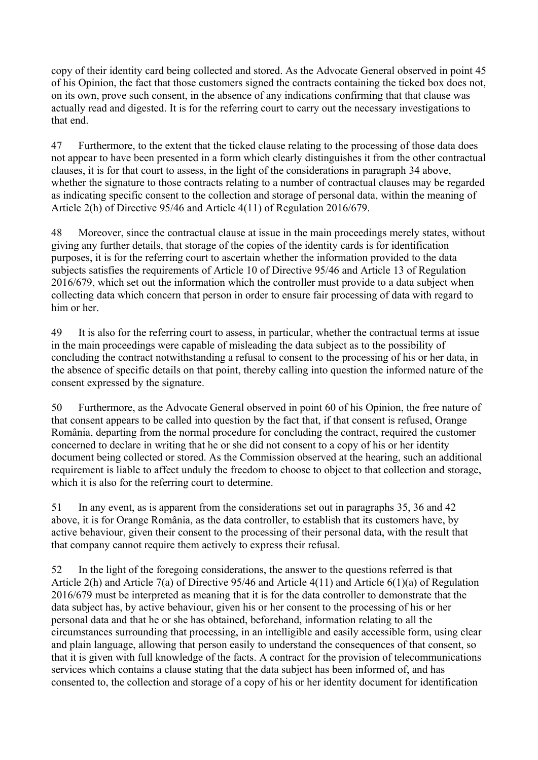copy of their identity card being collected and stored. As the Advocate General observed in point 45 of his Opinion, the fact that those customers signed the contracts containing the ticked box does not, on its own, prove such consent, in the absence of any indications confirming that that clause was actually read and digested. It is for the referring court to carry out the necessary investigations to that end.

47 Furthermore, to the extent that the ticked clause relating to the processing of those data does not appear to have been presented in a form which clearly distinguishes it from the other contractual clauses, it is for that court to assess, in the light of the considerations in paragraph 34 above, whether the signature to those contracts relating to a number of contractual clauses may be regarded as indicating specific consent to the collection and storage of personal data, within the meaning of Article 2(h) of Directive 95/46 and Article 4(11) of Regulation 2016/679.

48 Moreover, since the contractual clause at issue in the main proceedings merely states, without giving any further details, that storage of the copies of the identity cards is for identification purposes, it is for the referring court to ascertain whether the information provided to the data subjects satisfies the requirements of Article 10 of Directive 95/46 and Article 13 of Regulation 2016/679, which set out the information which the controller must provide to a data subject when collecting data which concern that person in order to ensure fair processing of data with regard to him or her.

49 It is also for the referring court to assess, in particular, whether the contractual terms at issue in the main proceedings were capable of misleading the data subject as to the possibility of concluding the contract notwithstanding a refusal to consent to the processing of his or her data, in the absence of specific details on that point, thereby calling into question the informed nature of the consent expressed by the signature.

50 Furthermore, as the Advocate General observed in point 60 of his Opinion, the free nature of that consent appears to be called into question by the fact that, if that consent is refused, Orange România, departing from the normal procedure for concluding the contract, required the customer concerned to declare in writing that he or she did not consent to a copy of his or her identity document being collected or stored. As the Commission observed at the hearing, such an additional requirement is liable to affect unduly the freedom to choose to object to that collection and storage, which it is also for the referring court to determine.

51 In any event, as is apparent from the considerations set out in paragraphs 35, 36 and 42 above, it is for Orange România, as the data controller, to establish that its customers have, by active behaviour, given their consent to the processing of their personal data, with the result that that company cannot require them actively to express their refusal.

52 In the light of the foregoing considerations, the answer to the questions referred is that Article 2(h) and Article 7(a) of Directive 95/46 and Article 4(11) and Article 6(1)(a) of Regulation 2016/679 must be interpreted as meaning that it is for the data controller to demonstrate that the data subject has, by active behaviour, given his or her consent to the processing of his or her personal data and that he or she has obtained, beforehand, information relating to all the circumstances surrounding that processing, in an intelligible and easily accessible form, using clear and plain language, allowing that person easily to understand the consequences of that consent, so that it is given with full knowledge of the facts. A contract for the provision of telecommunications services which contains a clause stating that the data subject has been informed of, and has consented to, the collection and storage of a copy of his or her identity document for identification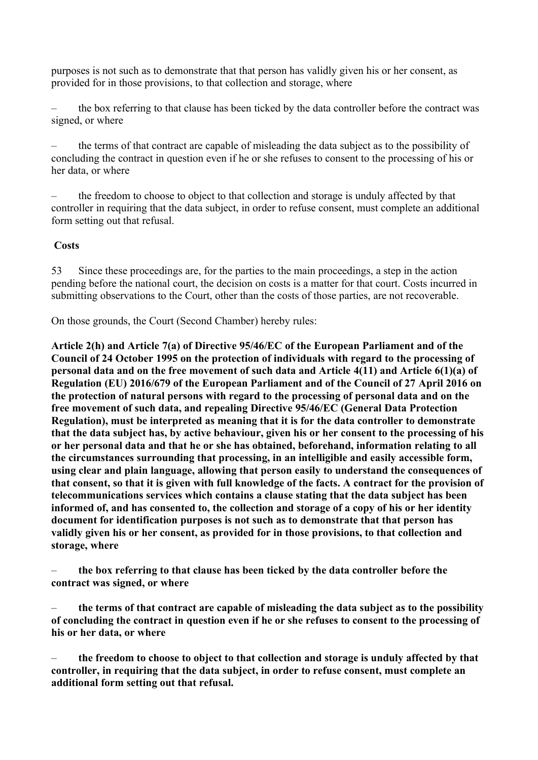purposes is not such as to demonstrate that that person has validly given his or her consent, as provided for in those provisions, to that collection and storage, where

– the box referring to that clause has been ticked by the data controller before the contract was signed, or where

– the terms of that contract are capable of misleading the data subject as to the possibility of concluding the contract in question even if he or she refuses to consent to the processing of his or her data, or where

– the freedom to choose to object to that collection and storage is unduly affected by that controller in requiring that the data subject, in order to refuse consent, must complete an additional form setting out that refusal.

#### **Costs**

53 Since these proceedings are, for the parties to the main proceedings, a step in the action pending before the national court, the decision on costs is a matter for that court. Costs incurred in submitting observations to the Court, other than the costs of those parties, are not recoverable.

On those grounds, the Court (Second Chamber) hereby rules:

**Article 2(h) and Article 7(a) of Directive 95/46/EC of the European Parliament and of the Council of 24 October 1995 on the protection of individuals with regard to the processing of personal data and on the free movement of such data and Article 4(11) and Article 6(1)(a) of Regulation (EU) 2016/679 of the European Parliament and of the Council of 27 April 2016 on the protection of natural persons with regard to the processing of personal data and on the free movement of such data, and repealing Directive 95/46/EC (General Data Protection Regulation), must be interpreted as meaning that it is for the data controller to demonstrate that the data subject has, by active behaviour, given his or her consent to the processing of his or her personal data and that he or she has obtained, beforehand, information relating to all the circumstances surrounding that processing, in an intelligible and easily accessible form, using clear and plain language, allowing that person easily to understand the consequences of that consent, so that it is given with full knowledge of the facts. A contract for the provision of telecommunications services which contains a clause stating that the data subject has been informed of, and has consented to, the collection and storage of a copy of his or her identity document for identification purposes is not such as to demonstrate that that person has validly given his or her consent, as provided for in those provisions, to that collection and storage, where**

– **the box referring to that clause has been ticked by the data controller before the contract was signed, or where**

– **the terms of that contract are capable of misleading the data subject as to the possibility of concluding the contract in question even if he or she refuses to consent to the processing of his or her data, or where** 

– **the freedom to choose to object to that collection and storage is unduly affected by that controller, in requiring that the data subject, in order to refuse consent, must complete an additional form setting out that refusal.**